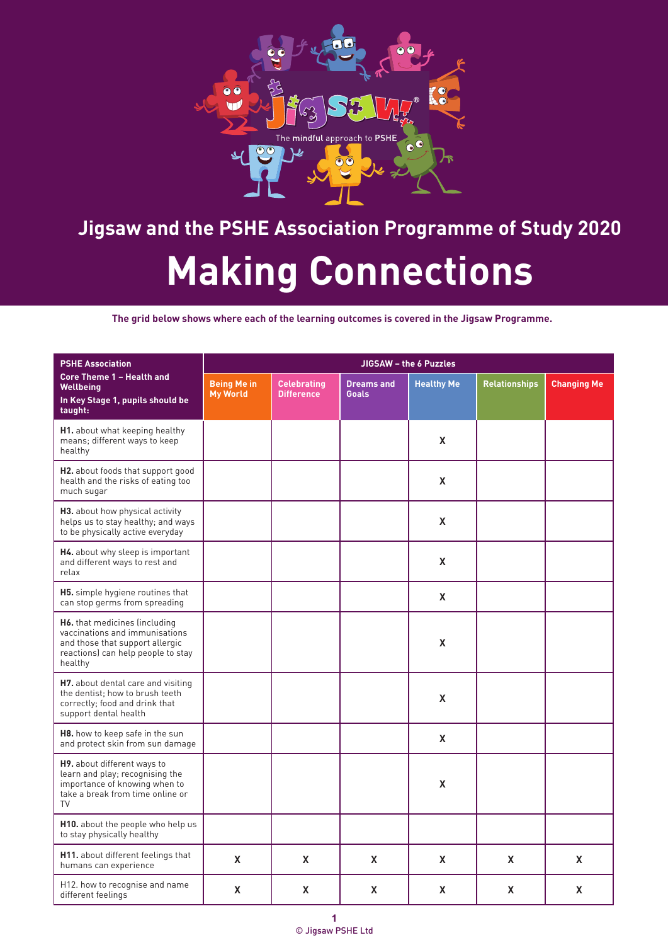

| <b>PSHE Association</b>                                                                                                                             | JIGSAW - the 6 Puzzles                |                                         |                                   |                   |                      |                    |  |  |
|-----------------------------------------------------------------------------------------------------------------------------------------------------|---------------------------------------|-----------------------------------------|-----------------------------------|-------------------|----------------------|--------------------|--|--|
| <b>Core Theme 1 - Health and</b><br><b>Wellbeing</b><br>In Key Stage 1, pupils should be<br>taught:                                                 | <b>Being Me in</b><br><b>My World</b> | <b>Celebrating</b><br><b>Difference</b> | <b>Dreams and</b><br><b>Goals</b> | <b>Healthy Me</b> | <b>Relationships</b> | <b>Changing Me</b> |  |  |
| <b>H1.</b> about what keeping healthy<br>means; different ways to keep<br>healthy                                                                   |                                       |                                         |                                   | X                 |                      |                    |  |  |
| H2. about foods that support good<br>health and the risks of eating too<br>much sugar                                                               |                                       |                                         |                                   | X                 |                      |                    |  |  |
| H3. about how physical activity<br>helps us to stay healthy; and ways<br>to be physically active everyday                                           |                                       |                                         |                                   | X                 |                      |                    |  |  |
| H4. about why sleep is important<br>and different ways to rest and<br>relax                                                                         |                                       |                                         |                                   | X                 |                      |                    |  |  |
| <b>H5.</b> simple hygiene routines that<br>can stop germs from spreading                                                                            |                                       |                                         |                                   | X                 |                      |                    |  |  |
| H6. that medicines (including<br>vaccinations and immunisations<br>and those that support allergic<br>reactions) can help people to stay<br>healthy |                                       |                                         |                                   | X                 |                      |                    |  |  |
| H7. about dental care and visiting<br>the dentist; how to brush teeth<br>correctly; food and drink that<br>support dental health                    |                                       |                                         |                                   | X                 |                      |                    |  |  |
| H8. how to keep safe in the sun<br>and protect skin from sun damage                                                                                 |                                       |                                         |                                   | X                 |                      |                    |  |  |
| H9. about different ways to<br>learn and play; recognising the<br>importance of knowing when to<br>take a break from time online or<br>TV           |                                       |                                         |                                   | X                 |                      |                    |  |  |
| H10. about the people who help us<br>to stay physically healthy                                                                                     |                                       |                                         |                                   |                   |                      |                    |  |  |
| H11. about different feelings that<br>humans can experience                                                                                         | X                                     | X                                       | X                                 | X                 | X                    | X                  |  |  |
| H12. how to recognise and name<br>different feelings                                                                                                | X                                     | X                                       | X                                 | X                 | X                    | X                  |  |  |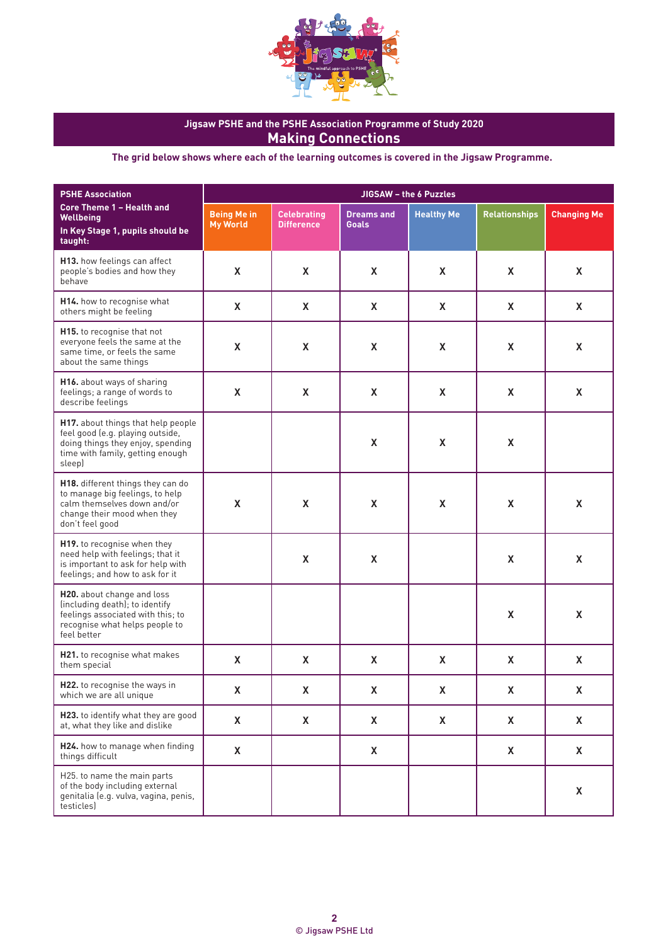

| <b>PSHE Association</b>                                                                                                                                   | JIGSAW - the 6 Puzzles                |                                         |                                   |                    |                      |                    |  |  |
|-----------------------------------------------------------------------------------------------------------------------------------------------------------|---------------------------------------|-----------------------------------------|-----------------------------------|--------------------|----------------------|--------------------|--|--|
| <b>Core Theme 1 - Health and</b><br><b>Wellbeing</b><br>In Key Stage 1, pupils should be<br>taught:                                                       | <b>Being Me in</b><br><b>My World</b> | <b>Celebrating</b><br><b>Difference</b> | <b>Dreams and</b><br><b>Goals</b> | <b>Healthy Me</b>  | <b>Relationships</b> | <b>Changing Me</b> |  |  |
| H13. how feelings can affect<br>people's bodies and how they<br>behave                                                                                    | X                                     | X                                       | X                                 | X                  | X                    | X                  |  |  |
| H14. how to recognise what<br>others might be feeling                                                                                                     | $\pmb{\mathsf{X}}$                    | X                                       | $\mathsf{X}$                      | X                  | X                    | X                  |  |  |
| H15. to recognise that not<br>everyone feels the same at the<br>same time, or feels the same<br>about the same things                                     | $\pmb{\mathsf{X}}$                    | $\pmb{\mathsf{X}}$                      | $\pmb{\mathsf{X}}$                | X                  | X                    | X                  |  |  |
| H16. about ways of sharing<br>feelings; a range of words to<br>describe feelings                                                                          | $\pmb{\mathsf{X}}$                    | X                                       | $\mathsf{X}$                      | X                  | X                    | X                  |  |  |
| H17. about things that help people<br>feel good (e.g. playing outside,<br>doing things they enjoy, spending<br>time with family, getting enough<br>sleep) |                                       |                                         | $\pmb{\mathsf{X}}$                | $\pmb{\mathsf{X}}$ | $\pmb{\mathsf{X}}$   |                    |  |  |
| H18. different things they can do<br>to manage big feelings, to help<br>calm themselves down and/or<br>change their mood when they<br>don't feel good     | $\pmb{\mathsf{X}}$                    | X                                       | $\mathsf{X}$                      | $\pmb{\mathsf{X}}$ | X                    | $\pmb{\mathsf{X}}$ |  |  |
| H19. to recognise when they<br>need help with feelings; that it<br>is important to ask for help with<br>feelings; and how to ask for it                   |                                       | $\pmb{\mathsf{X}}$                      | $\pmb{\mathsf{X}}$                |                    | X                    | $\pmb{\mathsf{X}}$ |  |  |
| H20. about change and loss<br>(including death); to identify<br>feelings associated with this; to<br>recognise what helps people to<br>feel better        |                                       |                                         |                                   |                    | X                    | $\pmb{\mathsf{X}}$ |  |  |
| <b>H21.</b> to recognise what makes<br>them special                                                                                                       | X                                     | $\mathsf{X}$                            | X                                 | X                  | X                    | $\pmb{\mathsf{X}}$ |  |  |
| H22. to recognise the ways in<br>which we are all unique                                                                                                  | X                                     | X                                       | X                                 | X                  | X                    | X                  |  |  |
| H23. to identify what they are good<br>at, what they like and dislike                                                                                     | X                                     | X                                       | X                                 | X                  | $\mathsf{X}$         | X                  |  |  |
| H24. how to manage when finding<br>things difficult                                                                                                       | X                                     |                                         | X                                 |                    | X                    | X                  |  |  |
| H25. to name the main parts<br>of the body including external<br>genitalia (e.g. vulva, vagina, penis,<br>testicles)                                      |                                       |                                         |                                   |                    |                      | X                  |  |  |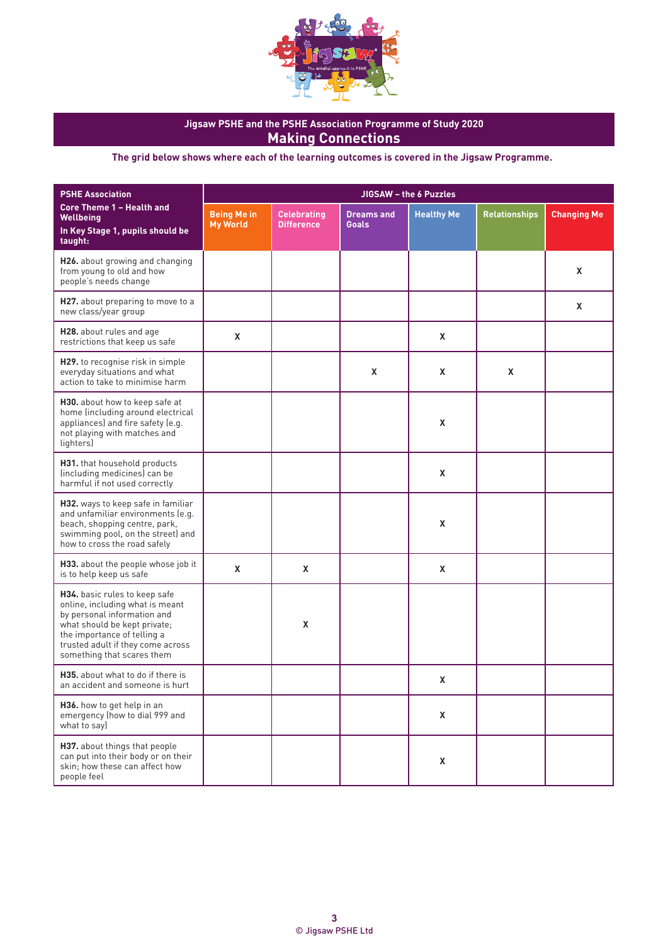

| <b>PSHE Association</b>                                                                                                                                                                                                           | JIGSAW - the 6 Puzzles                |                                         |                                   |                   |                      |                    |  |  |
|-----------------------------------------------------------------------------------------------------------------------------------------------------------------------------------------------------------------------------------|---------------------------------------|-----------------------------------------|-----------------------------------|-------------------|----------------------|--------------------|--|--|
| <b>Core Theme 1 - Health and</b><br>Wellbeing<br>In Key Stage 1, pupils should be<br>taught:                                                                                                                                      | <b>Being Me in</b><br><b>My World</b> | <b>Celebrating</b><br><b>Difference</b> | <b>Dreams and</b><br><b>Goals</b> | <b>Healthy Me</b> | <b>Relationships</b> | <b>Changing Me</b> |  |  |
| H26. about growing and changing<br>from young to old and how<br>people's needs change                                                                                                                                             |                                       |                                         |                                   |                   |                      | X                  |  |  |
| H27. about preparing to move to a<br>new class/year group                                                                                                                                                                         |                                       |                                         |                                   |                   |                      | X                  |  |  |
| H28. about rules and age<br>restrictions that keep us safe                                                                                                                                                                        | X                                     |                                         |                                   | X                 |                      |                    |  |  |
| H29. to recognise risk in simple<br>everyday situations and what<br>action to take to minimise harm                                                                                                                               |                                       |                                         | X                                 | X                 | X                    |                    |  |  |
| H30. about how to keep safe at<br>home (including around electrical<br>appliances) and fire safety (e.g.<br>not playing with matches and<br>lighters)                                                                             |                                       |                                         |                                   | X                 |                      |                    |  |  |
| H31. that household products<br>(including medicines) can be<br>harmful if not used correctly                                                                                                                                     |                                       |                                         |                                   | X                 |                      |                    |  |  |
| H32. ways to keep safe in familiar<br>and unfamiliar environments (e.g.<br>beach, shopping centre, park,<br>swimming pool, on the street) and<br>how to cross the road safely                                                     |                                       |                                         |                                   | X                 |                      |                    |  |  |
| H33. about the people whose job it<br>is to help keep us safe                                                                                                                                                                     | X                                     | X                                       |                                   | X                 |                      |                    |  |  |
| H34. basic rules to keep safe<br>online, including what is meant<br>by personal information and<br>what should be kept private;<br>the importance of telling a<br>trusted adult if they come across<br>something that scares them |                                       | X                                       |                                   |                   |                      |                    |  |  |
| H35, about what to do if there is<br>an accident and someone is hurt                                                                                                                                                              |                                       |                                         |                                   | X                 |                      |                    |  |  |
| H36. how to get help in an<br>emergency (how to dial 999 and<br>what to say)                                                                                                                                                      |                                       |                                         |                                   | X                 |                      |                    |  |  |
| H37. about things that people<br>can put into their body or on their<br>skin; how these can affect how<br>people feel                                                                                                             |                                       |                                         |                                   | X                 |                      |                    |  |  |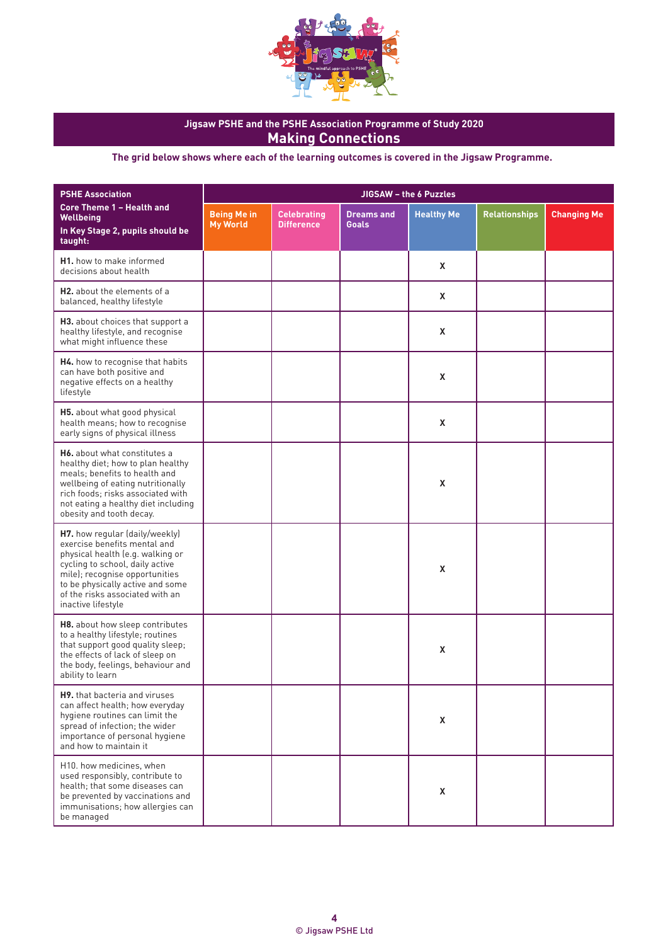

**The grid below shows where each of the learning outcomes is covered in the Jigsaw Programme.**

| <b>PSHE Association</b>                                                                                                                                                                                                                                              |                                       |                                         | JIGSAW - the 6 Puzzles            |                   |                      |                    |  |  |  |  |
|----------------------------------------------------------------------------------------------------------------------------------------------------------------------------------------------------------------------------------------------------------------------|---------------------------------------|-----------------------------------------|-----------------------------------|-------------------|----------------------|--------------------|--|--|--|--|
| <b>Core Theme 1 - Health and</b><br>Wellbeing<br>In Key Stage 2, pupils should be<br>taught:                                                                                                                                                                         | <b>Being Me in</b><br><b>My World</b> | <b>Celebrating</b><br><b>Difference</b> | <b>Dreams and</b><br><b>Goals</b> | <b>Healthy Me</b> | <b>Relationships</b> | <b>Changing Me</b> |  |  |  |  |
| <b>H1.</b> how to make informed<br>decisions about health                                                                                                                                                                                                            |                                       |                                         |                                   | X                 |                      |                    |  |  |  |  |
| <b>H2.</b> about the elements of a<br>balanced, healthy lifestyle                                                                                                                                                                                                    |                                       |                                         |                                   | X                 |                      |                    |  |  |  |  |
| H3. about choices that support a<br>healthy lifestyle, and recognise<br>what might influence these                                                                                                                                                                   |                                       |                                         |                                   | X                 |                      |                    |  |  |  |  |
| H4. how to recognise that habits<br>can have both positive and<br>negative effects on a healthy<br>lifestyle                                                                                                                                                         |                                       |                                         |                                   | X                 |                      |                    |  |  |  |  |
| H5. about what good physical<br>health means; how to recognise<br>early signs of physical illness                                                                                                                                                                    |                                       |                                         |                                   | X                 |                      |                    |  |  |  |  |
| <b>H6.</b> about what constitutes a<br>healthy diet; how to plan healthy<br>meals: benefits to health and<br>wellbeing of eating nutritionally<br>rich foods; risks associated with<br>not eating a healthy diet including<br>obesity and tooth decay.               |                                       |                                         |                                   | X                 |                      |                    |  |  |  |  |
| H7. how regular (daily/weekly)<br>exercise benefits mental and<br>physical health (e.g. walking or<br>cycling to school, daily active<br>mile); recognise opportunities<br>to be physically active and some<br>of the risks associated with an<br>inactive lifestyle |                                       |                                         |                                   | X                 |                      |                    |  |  |  |  |
| H8. about how sleep contributes<br>to a healthy lifestyle; routines<br>that support good quality sleep;<br>the effects of lack of sleep on<br>the body, feelings, behaviour and<br>ability to learn                                                                  |                                       |                                         |                                   | X                 |                      |                    |  |  |  |  |
| H9. that bacteria and viruses<br>can affect health; how everyday<br>hygiene routines can limit the<br>spread of infection; the wider<br>importance of personal hygiene<br>and how to maintain it                                                                     |                                       |                                         |                                   | X                 |                      |                    |  |  |  |  |
| H10. how medicines, when<br>used responsibly, contribute to<br>health; that some diseases can<br>be prevented by vaccinations and<br>immunisations; how allergies can<br>be managed                                                                                  |                                       |                                         |                                   | X                 |                      |                    |  |  |  |  |

© Jigsaw PSHE Ltd **4**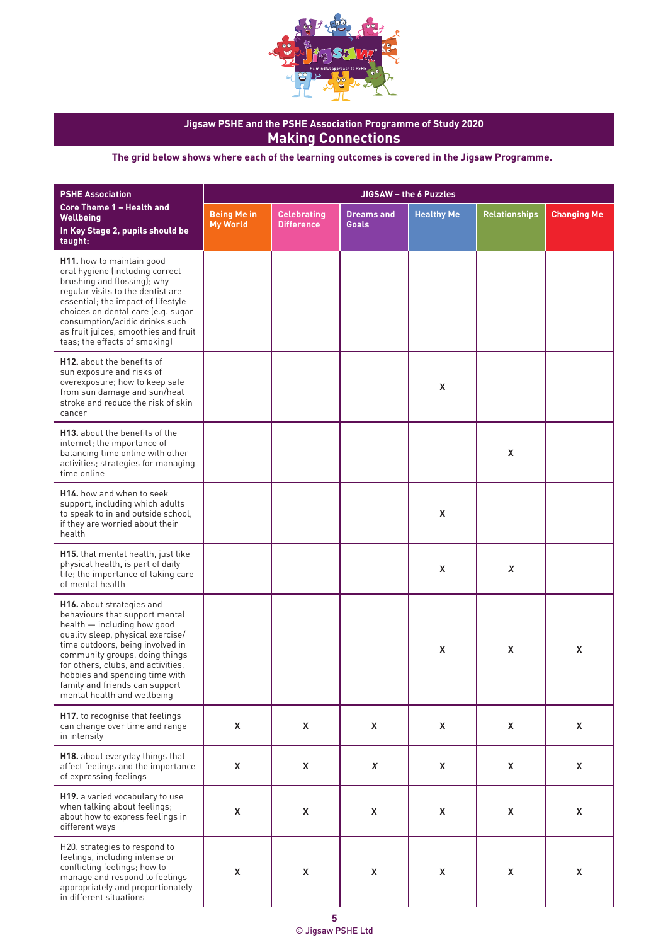

| <b>PSHE Association</b>                                                                                                                                                                                                                                                                                                                        | JIGSAW - the 6 Puzzles                |                                         |                                   |                   |                      |                    |  |
|------------------------------------------------------------------------------------------------------------------------------------------------------------------------------------------------------------------------------------------------------------------------------------------------------------------------------------------------|---------------------------------------|-----------------------------------------|-----------------------------------|-------------------|----------------------|--------------------|--|
| Core Theme 1 - Health and<br>Wellbeing<br>In Key Stage 2, pupils should be<br>taught:                                                                                                                                                                                                                                                          | <b>Being Me in</b><br><b>My World</b> | <b>Celebrating</b><br><b>Difference</b> | <b>Dreams and</b><br><b>Goals</b> | <b>Healthy Me</b> | <b>Relationships</b> | <b>Changing Me</b> |  |
| H11. how to maintain good<br>oral hygiene (including correct<br>brushing and flossing); why<br>regular visits to the dentist are<br>essential; the impact of lifestyle<br>choices on dental care (e.g. sugar<br>consumption/acidic drinks such<br>as fruit juices, smoothies and fruit<br>teas; the effects of smoking)                        |                                       |                                         |                                   |                   |                      |                    |  |
| <b>H12.</b> about the benefits of<br>sun exposure and risks of<br>overexposure; how to keep safe<br>from sun damage and sun/heat<br>stroke and reduce the risk of skin<br>cancer                                                                                                                                                               |                                       |                                         |                                   | X                 |                      |                    |  |
| <b>H13.</b> about the benefits of the<br>internet; the importance of<br>balancing time online with other<br>activities; strategies for managing<br>time online                                                                                                                                                                                 |                                       |                                         |                                   |                   | X                    |                    |  |
| H <sub>14</sub> , how and when to seek<br>support, including which adults<br>to speak to in and outside school,<br>if they are worried about their<br>health                                                                                                                                                                                   |                                       |                                         |                                   | X                 |                      |                    |  |
| H15. that mental health, just like<br>physical health, is part of daily<br>life; the importance of taking care<br>of mental health                                                                                                                                                                                                             |                                       |                                         |                                   | X                 | X                    |                    |  |
| H16. about strategies and<br>behaviours that support mental<br>health - including how good<br>quality sleep, physical exercise/<br>time outdoors, being involved in<br>community groups, doing things<br>for others, clubs, and activities,<br>hobbies and spending time with<br>family and friends can support<br>mental health and wellbeing |                                       |                                         |                                   | X                 | X                    | X                  |  |
| H17. to recognise that feelings<br>can change over time and range<br>in intensity                                                                                                                                                                                                                                                              | X                                     | $\mathsf{X}$                            | X                                 | X                 | X                    | Χ                  |  |
| H18. about everyday things that<br>affect feelings and the importance<br>of expressing feelings                                                                                                                                                                                                                                                | X                                     | X                                       | X                                 | Χ                 | X                    | X                  |  |
| H19. a varied vocabulary to use<br>when talking about feelings;<br>about how to express feelings in<br>different ways                                                                                                                                                                                                                          | X                                     | X                                       | X                                 | X                 | X                    | X                  |  |
| H20. strategies to respond to<br>feelings, including intense or<br>conflicting feelings; how to<br>manage and respond to feelings<br>appropriately and proportionately<br>in different situations                                                                                                                                              | X                                     | $\pmb{\chi}$                            | X                                 | X                 | X                    | X                  |  |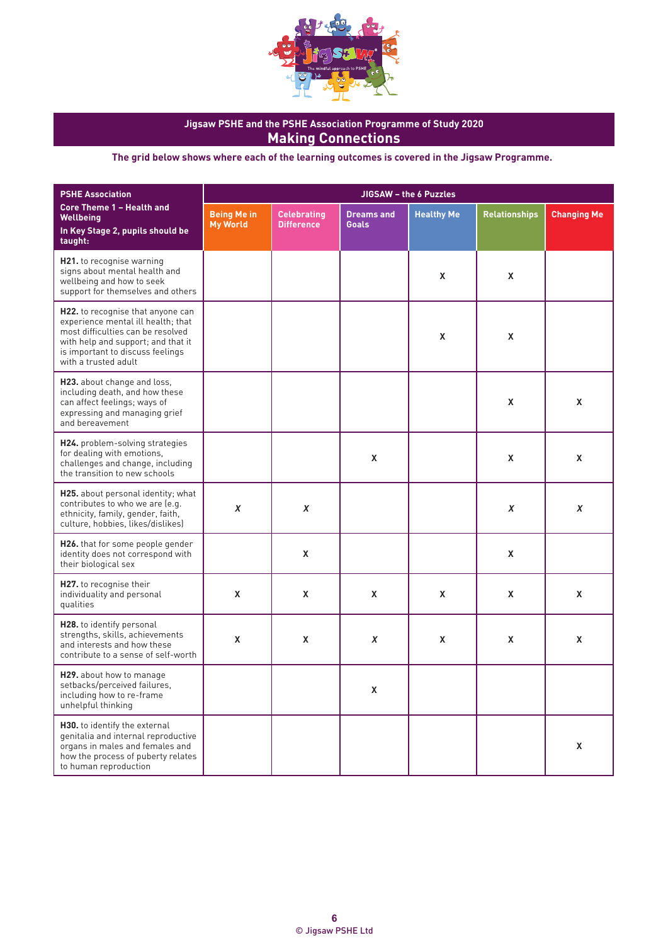

| <b>PSHE Association</b>                                                                                                                                                                                        |                                       |                                         |                                   | JIGSAW - the 6 Puzzles |                      |                    |
|----------------------------------------------------------------------------------------------------------------------------------------------------------------------------------------------------------------|---------------------------------------|-----------------------------------------|-----------------------------------|------------------------|----------------------|--------------------|
| <b>Core Theme 1 - Health and</b><br>Wellbeing<br>In Key Stage 2, pupils should be<br>taught:                                                                                                                   | <b>Being Me in</b><br><b>My World</b> | <b>Celebrating</b><br><b>Difference</b> | <b>Dreams and</b><br><b>Goals</b> | <b>Healthy Me</b>      | <b>Relationships</b> | <b>Changing Me</b> |
| H21. to recognise warning<br>signs about mental health and<br>wellbeing and how to seek<br>support for themselves and others                                                                                   |                                       |                                         |                                   | X                      | X                    |                    |
| H22. to recognise that anyone can<br>experience mental ill health; that<br>most difficulties can be resolved<br>with help and support; and that it<br>is important to discuss feelings<br>with a trusted adult |                                       |                                         |                                   | X                      | X                    |                    |
| H23. about change and loss,<br>including death, and how these<br>can affect feelings; ways of<br>expressing and managing grief<br>and bereavement                                                              |                                       |                                         |                                   |                        | X                    | X                  |
| H24. problem-solving strategies<br>for dealing with emotions,<br>challenges and change, including<br>the transition to new schools                                                                             |                                       |                                         | X                                 |                        | X                    | X                  |
| H25. about personal identity; what<br>contributes to who we are (e.g.<br>ethnicity, family, gender, faith,<br>culture, hobbies, likes/dislikes)                                                                | $\pmb{X}$                             | X                                       |                                   |                        | X                    | $\pmb{\chi}$       |
| H26. that for some people gender<br>identity does not correspond with<br>their biological sex                                                                                                                  |                                       | X                                       |                                   |                        | X                    |                    |
| H27. to recognise their<br>individuality and personal<br>qualities                                                                                                                                             | X                                     | X                                       | X                                 | X                      | $\mathsf{x}$         | X                  |
| H28. to identify personal<br>strengths, skills, achievements<br>and interests and how these<br>contribute to a sense of self-worth                                                                             | X                                     | X                                       | X                                 | X                      | X                    | X                  |
| H29. about how to manage<br>setbacks/perceived failures,<br>including how to re-frame<br>unhelpful thinking                                                                                                    |                                       |                                         | X                                 |                        |                      |                    |
| H30. to identify the external<br>genitalia and internal reproductive<br>organs in males and females and<br>how the process of puberty relates<br>to human reproduction                                         |                                       |                                         |                                   |                        |                      | X                  |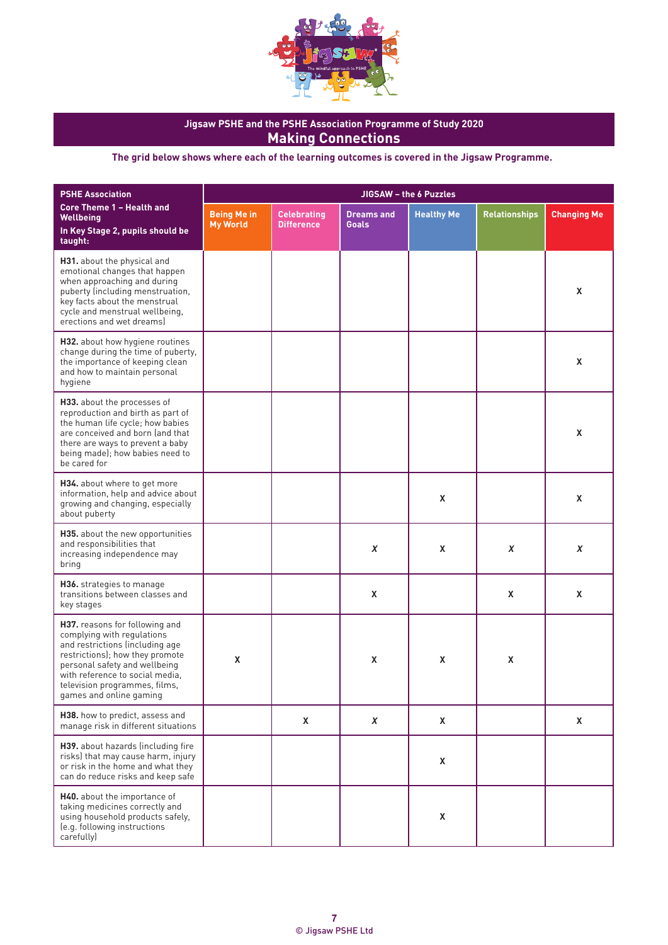

| <b>PSHE Association</b>                                                                                                                                                                                                                                            | JIGSAW - the 6 Puzzles                |                                         |                                   |                   |                      |                    |  |
|--------------------------------------------------------------------------------------------------------------------------------------------------------------------------------------------------------------------------------------------------------------------|---------------------------------------|-----------------------------------------|-----------------------------------|-------------------|----------------------|--------------------|--|
| <b>Core Theme 1 - Health and</b><br><b>Wellbeing</b><br>In Key Stage 2, pupils should be<br>taught:                                                                                                                                                                | <b>Being Me in</b><br><b>My World</b> | <b>Celebrating</b><br><b>Difference</b> | <b>Dreams and</b><br><b>Goals</b> | <b>Healthy Me</b> | <b>Relationships</b> | <b>Changing Me</b> |  |
| H31. about the physical and<br>emotional changes that happen<br>when approaching and during<br>puberty (including menstruation,<br>key facts about the menstrual<br>cycle and menstrual wellbeing,<br>erections and wet dreams)                                    |                                       |                                         |                                   |                   |                      | X                  |  |
| H32. about how hygiene routines<br>change during the time of puberty,<br>the importance of keeping clean<br>and how to maintain personal<br>hygiene                                                                                                                |                                       |                                         |                                   |                   |                      | X                  |  |
| H33. about the processes of<br>reproduction and birth as part of<br>the human life cycle; how babies<br>are conceived and born (and that<br>there are ways to prevent a baby<br>being made); how babies need to<br>be cared for                                    |                                       |                                         |                                   |                   |                      | X                  |  |
| H34. about where to get more<br>information, help and advice about<br>growing and changing, especially<br>about puberty                                                                                                                                            |                                       |                                         |                                   | X                 |                      | X                  |  |
| H35. about the new opportunities<br>and responsibilities that<br>increasing independence may<br>bring                                                                                                                                                              |                                       |                                         | X                                 | X                 | X                    | X                  |  |
| H36. strategies to manage<br>transitions between classes and<br>key stages                                                                                                                                                                                         |                                       |                                         | X                                 |                   | X                    | X                  |  |
| H37. reasons for following and<br>complying with regulations<br>and restrictions (including age<br>restrictions); how they promote<br>personal safety and wellbeing<br>with reference to social media,<br>television programmes, films,<br>games and online gaming | X                                     |                                         | X                                 | X                 | X                    |                    |  |
| H38. how to predict, assess and<br>manage risk in different situations                                                                                                                                                                                             |                                       | X                                       | $\boldsymbol{x}$                  | X                 |                      | X                  |  |
| H39. about hazards (including fire<br>risks) that may cause harm, injury<br>or risk in the home and what they<br>can do reduce risks and keep safe                                                                                                                 |                                       |                                         |                                   | X                 |                      |                    |  |
| H40. about the importance of<br>taking medicines correctly and<br>using household products safely,<br>(e.g. following instructions<br>carefully)                                                                                                                   |                                       |                                         |                                   | X                 |                      |                    |  |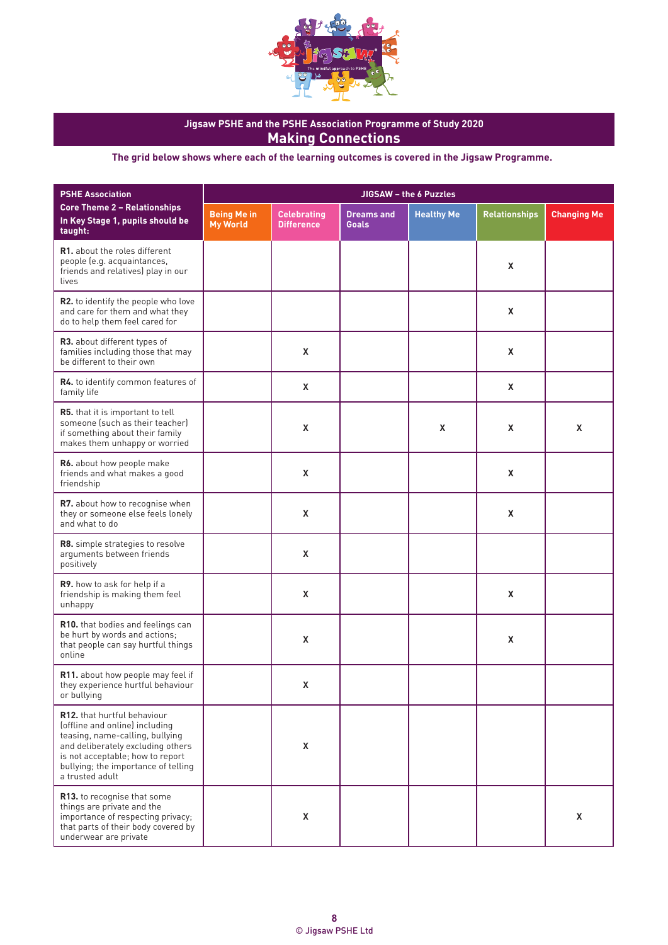

| <b>PSHE Association</b>                                                                                                                                                                                                             | JIGSAW - the 6 Puzzles                |                                         |                                   |                   |                      |                    |  |  |
|-------------------------------------------------------------------------------------------------------------------------------------------------------------------------------------------------------------------------------------|---------------------------------------|-----------------------------------------|-----------------------------------|-------------------|----------------------|--------------------|--|--|
| <b>Core Theme 2 - Relationships</b><br>In Key Stage 1, pupils should be<br>taught:                                                                                                                                                  | <b>Being Me in</b><br><b>My World</b> | <b>Celebrating</b><br><b>Difference</b> | <b>Dreams and</b><br><b>Goals</b> | <b>Healthy Me</b> | <b>Relationships</b> | <b>Changing Me</b> |  |  |
| <b>R1.</b> about the roles different<br>people (e.g. acquaintances,<br>friends and relatives) play in our<br>lives                                                                                                                  |                                       |                                         |                                   |                   | X                    |                    |  |  |
| R2. to identify the people who love<br>and care for them and what they<br>do to help them feel cared for                                                                                                                            |                                       |                                         |                                   |                   | Χ                    |                    |  |  |
| R3. about different types of<br>families including those that may<br>be different to their own                                                                                                                                      |                                       | X                                       |                                   |                   | Χ                    |                    |  |  |
| R4. to identify common features of<br>family life                                                                                                                                                                                   |                                       | X                                       |                                   |                   | X                    |                    |  |  |
| <b>R5.</b> that it is important to tell<br>someone (such as their teacher)<br>if something about their family<br>makes them unhappy or worried                                                                                      |                                       | X                                       |                                   | X                 | X                    | X                  |  |  |
| R6. about how people make<br>friends and what makes a good<br>friendship                                                                                                                                                            |                                       | X                                       |                                   |                   | X                    |                    |  |  |
| <b>R7.</b> about how to recognise when<br>they or someone else feels lonely<br>and what to do                                                                                                                                       |                                       | X                                       |                                   |                   | Χ                    |                    |  |  |
| R8. simple strategies to resolve<br>arguments between friends<br>positively                                                                                                                                                         |                                       | X                                       |                                   |                   |                      |                    |  |  |
| R9. how to ask for help if a<br>friendship is making them feel<br>unhappy                                                                                                                                                           |                                       | X                                       |                                   |                   | X                    |                    |  |  |
| R10. that bodies and feelings can<br>be hurt by words and actions;<br>that people can say hurtful things<br>online                                                                                                                  |                                       | X                                       |                                   |                   | X                    |                    |  |  |
| <b>R11.</b> about how people may feel if<br>they experience hurtful behaviour<br>or bullying                                                                                                                                        |                                       | $\pmb{\mathsf{X}}$                      |                                   |                   |                      |                    |  |  |
| R12. that hurtful behaviour<br>(offline and online) including<br>teasing, name-calling, bullying<br>and deliberately excluding others<br>is not acceptable; how to report<br>bullying; the importance of telling<br>a trusted adult |                                       | X                                       |                                   |                   |                      |                    |  |  |
| R13. to recognise that some<br>things are private and the<br>importance of respecting privacy;<br>that parts of their body covered by<br>underwear are private                                                                      |                                       | X                                       |                                   |                   |                      | X                  |  |  |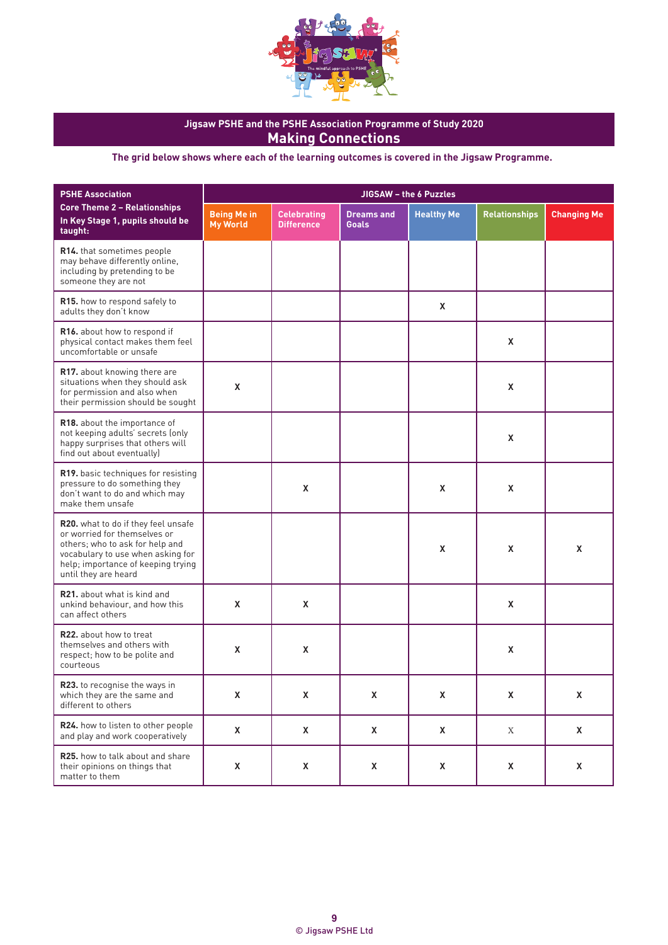

| <b>PSHE Association</b>                                                                                                                                                                                   | JIGSAW - the 6 Puzzles                |                                         |                                   |                   |                      |                    |  |  |
|-----------------------------------------------------------------------------------------------------------------------------------------------------------------------------------------------------------|---------------------------------------|-----------------------------------------|-----------------------------------|-------------------|----------------------|--------------------|--|--|
| <b>Core Theme 2 - Relationships</b><br>In Key Stage 1, pupils should be<br>taught:                                                                                                                        | <b>Being Me in</b><br><b>My World</b> | <b>Celebrating</b><br><b>Difference</b> | <b>Dreams and</b><br><b>Goals</b> | <b>Healthy Me</b> | <b>Relationships</b> | <b>Changing Me</b> |  |  |
| R14. that sometimes people<br>may behave differently online,<br>including by pretending to be<br>someone they are not                                                                                     |                                       |                                         |                                   |                   |                      |                    |  |  |
| R15. how to respond safely to<br>adults they don't know                                                                                                                                                   |                                       |                                         |                                   | X                 |                      |                    |  |  |
| R16. about how to respond if<br>physical contact makes them feel<br>uncomfortable or unsafe                                                                                                               |                                       |                                         |                                   |                   | X                    |                    |  |  |
| R17. about knowing there are<br>situations when they should ask<br>for permission and also when<br>their permission should be sought                                                                      | X                                     |                                         |                                   |                   | X                    |                    |  |  |
| R18. about the importance of<br>not keeping adults' secrets (only<br>happy surprises that others will<br>find out about eventually)                                                                       |                                       |                                         |                                   |                   | X                    |                    |  |  |
| R19. basic techniques for resisting<br>pressure to do something they<br>don't want to do and which may<br>make them unsafe                                                                                |                                       | X                                       |                                   | X                 | X                    |                    |  |  |
| R20. what to do if they feel unsafe<br>or worried for themselves or<br>others; who to ask for help and<br>vocabulary to use when asking for<br>help; importance of keeping trying<br>until they are heard |                                       |                                         |                                   | X                 | X                    | X                  |  |  |
| <b>R21.</b> about what is kind and<br>unkind behaviour, and how this<br>can affect others                                                                                                                 | X                                     | X                                       |                                   |                   | X                    |                    |  |  |
| <b>R22.</b> about how to treat<br>themselves and others with<br>respect; how to be polite and<br>courteous                                                                                                | X                                     | X                                       |                                   |                   | X                    |                    |  |  |
| R23. to recognise the ways in<br>which they are the same and<br>different to others                                                                                                                       | X                                     | X                                       | X                                 | X                 | X                    | X                  |  |  |
| R24. how to listen to other people<br>and play and work cooperatively                                                                                                                                     | X                                     | X                                       | X                                 | X                 | X                    | X                  |  |  |
| R25. how to talk about and share<br>their opinions on things that<br>matter to them                                                                                                                       | X                                     | X                                       | X                                 | X                 | X                    | X                  |  |  |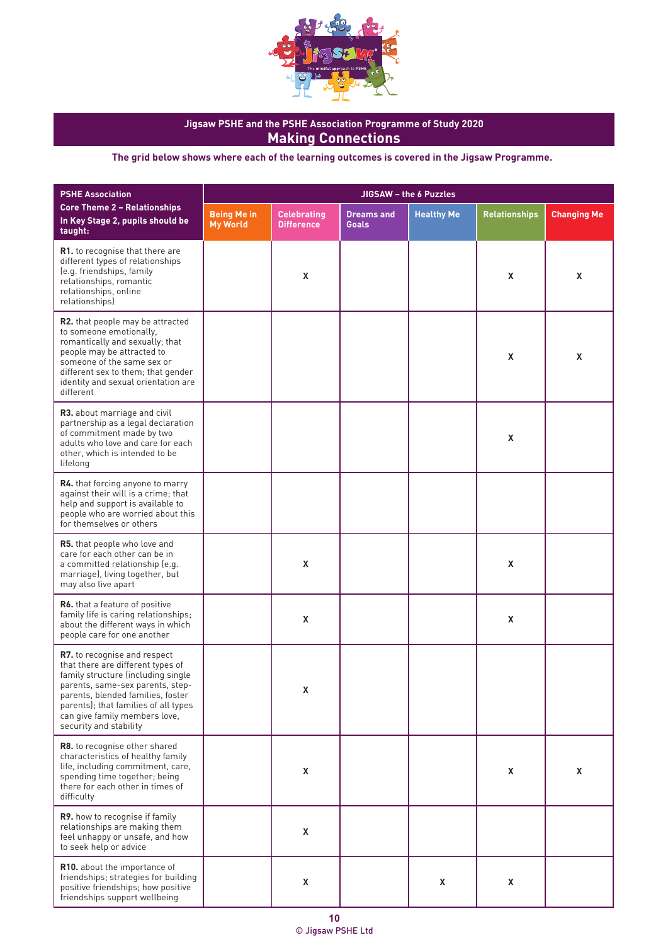

| <b>PSHE Association</b>                                                                                                                                                                                                                                                             | JIGSAW - the 6 Puzzles                |                                         |                                   |                   |                      |                    |  |
|-------------------------------------------------------------------------------------------------------------------------------------------------------------------------------------------------------------------------------------------------------------------------------------|---------------------------------------|-----------------------------------------|-----------------------------------|-------------------|----------------------|--------------------|--|
| <b>Core Theme 2 - Relationships</b><br>In Key Stage 2, pupils should be<br>taught:                                                                                                                                                                                                  | <b>Being Me in</b><br><b>My World</b> | <b>Celebrating</b><br><b>Difference</b> | <b>Dreams and</b><br><b>Goals</b> | <b>Healthy Me</b> | <b>Relationships</b> | <b>Changing Me</b> |  |
| R1. to recognise that there are<br>different types of relationships<br>(e.g. friendships, family<br>relationships, romantic<br>relationships, online<br>relationships)                                                                                                              |                                       | X                                       |                                   |                   | X                    | X                  |  |
| R2. that people may be attracted<br>to someone emotionally.<br>romantically and sexually; that<br>people may be attracted to<br>someone of the same sex or<br>different sex to them; that gender<br>identity and sexual orientation are<br>different                                |                                       |                                         |                                   |                   | X                    | X                  |  |
| R3. about marriage and civil<br>partnership as a legal declaration<br>of commitment made by two<br>adults who love and care for each<br>other, which is intended to be<br>lifelong                                                                                                  |                                       |                                         |                                   |                   | X                    |                    |  |
| <b>R4.</b> that forcing anyone to marry<br>against their will is a crime; that<br>help and support is available to<br>people who are worried about this<br>for themselves or others                                                                                                 |                                       |                                         |                                   |                   |                      |                    |  |
| R5. that people who love and<br>care for each other can be in<br>a committed relationship (e.g.<br>marriage), living together, but<br>may also live apart                                                                                                                           |                                       | $\mathsf{x}$                            |                                   |                   | X                    |                    |  |
| R6. that a feature of positive<br>family life is caring relationships;<br>about the different ways in which<br>people care for one another                                                                                                                                          |                                       | X                                       |                                   |                   | X                    |                    |  |
| R7. to recognise and respect<br>that there are different types of<br>family structure (including single<br>parents, same-sex parents, step-<br>parents, blended families, foster<br>parents); that families of all types<br>can give family members love,<br>security and stability |                                       | X                                       |                                   |                   |                      |                    |  |
| R8. to recognise other shared<br>characteristics of healthy family<br>life, including commitment, care,<br>spending time together; being<br>there for each other in times of<br>difficulty                                                                                          |                                       | X                                       |                                   |                   | X                    | X                  |  |
| R9. how to recognise if family<br>relationships are making them<br>feel unhappy or unsafe, and how<br>to seek help or advice                                                                                                                                                        |                                       | $\pmb{\mathsf{X}}$                      |                                   |                   |                      |                    |  |
| R10. about the importance of<br>friendships; strategies for building<br>positive friendships; how positive<br>friendships support wellbeing                                                                                                                                         |                                       | X                                       |                                   | X                 | X                    |                    |  |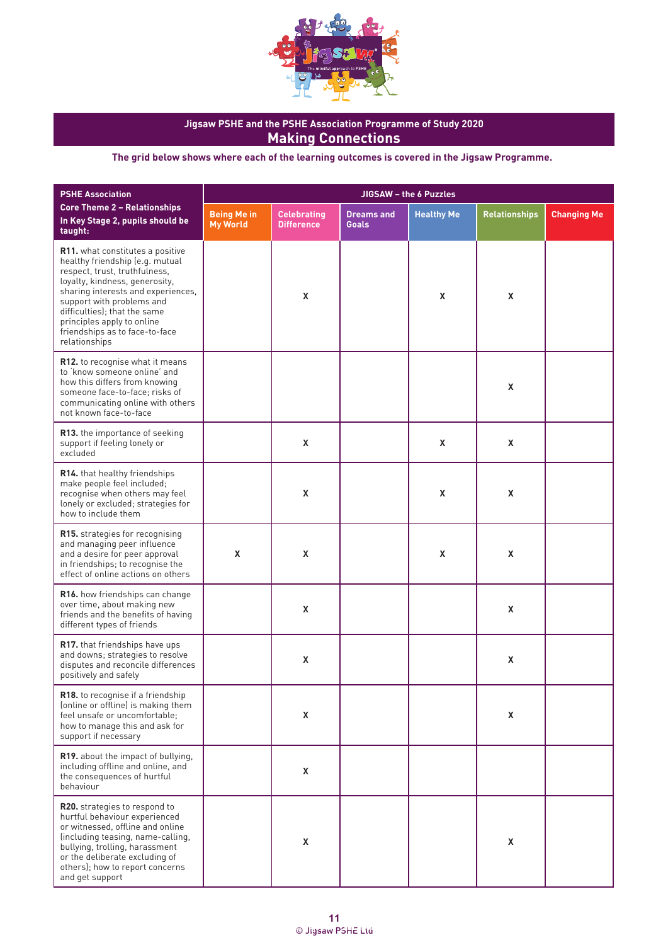

| <b>PSHE Association</b>                                                                                                                                                                                                                                                                                                    |                                       |                                         | JIGSAW - the 6 Puzzles            |                   |                      |                    |
|----------------------------------------------------------------------------------------------------------------------------------------------------------------------------------------------------------------------------------------------------------------------------------------------------------------------------|---------------------------------------|-----------------------------------------|-----------------------------------|-------------------|----------------------|--------------------|
| <b>Core Theme 2 - Relationships</b><br>In Key Stage 2, pupils should be<br>taught:                                                                                                                                                                                                                                         | <b>Being Me in</b><br><b>My World</b> | <b>Celebrating</b><br><b>Difference</b> | <b>Dreams and</b><br><b>Goals</b> | <b>Healthy Me</b> | <b>Relationships</b> | <b>Changing Me</b> |
| R11. what constitutes a positive<br>healthy friendship (e.g. mutual<br>respect, trust, truthfulness,<br>loyalty, kindness, generosity,<br>sharing interests and experiences,<br>support with problems and<br>difficulties); that the same<br>principles apply to online<br>friendships as to face-to-face<br>relationships |                                       | X                                       |                                   | X                 | X                    |                    |
| R12. to recognise what it means<br>to 'know someone online' and<br>how this differs from knowing<br>someone face-to-face; risks of<br>communicating online with others<br>not known face-to-face                                                                                                                           |                                       |                                         |                                   |                   | X                    |                    |
| R13. the importance of seeking<br>support if feeling lonely or<br>excluded                                                                                                                                                                                                                                                 |                                       | X                                       |                                   | X                 | X                    |                    |
| R14. that healthy friendships<br>make people feel included;<br>recognise when others may feel<br>lonely or excluded; strategies for<br>how to include them                                                                                                                                                                 |                                       | X                                       |                                   | X                 | X                    |                    |
| R15. strategies for recognising<br>and managing peer influence<br>and a desire for peer approval<br>in friendships; to recognise the<br>effect of online actions on others                                                                                                                                                 | X                                     | X                                       |                                   | X                 | X                    |                    |
| R16. how friendships can change<br>over time, about making new<br>friends and the benefits of having<br>different types of friends                                                                                                                                                                                         |                                       | X                                       |                                   |                   | X                    |                    |
| R17. that friendships have ups<br>and downs; strategies to resolve<br>disputes and reconcile differences<br>positively and safely                                                                                                                                                                                          |                                       | X                                       |                                   |                   | X                    |                    |
| R18. to recognise if a friendship<br>(online or offline) is making them<br>feel unsafe or uncomfortable;<br>how to manage this and ask for<br>support if necessary                                                                                                                                                         |                                       | X                                       |                                   |                   | X                    |                    |
| R19. about the impact of bullying,<br>including offline and online, and<br>the consequences of hurtful<br>behaviour                                                                                                                                                                                                        |                                       | X                                       |                                   |                   |                      |                    |
| R20. strategies to respond to<br>hurtful behaviour experienced<br>or witnessed, offline and online<br>(including teasing, name-calling,<br>bullying, trolling, harassment<br>or the deliberate excluding of<br>others); how to report concerns<br>and get support                                                          |                                       | X                                       |                                   |                   | X                    |                    |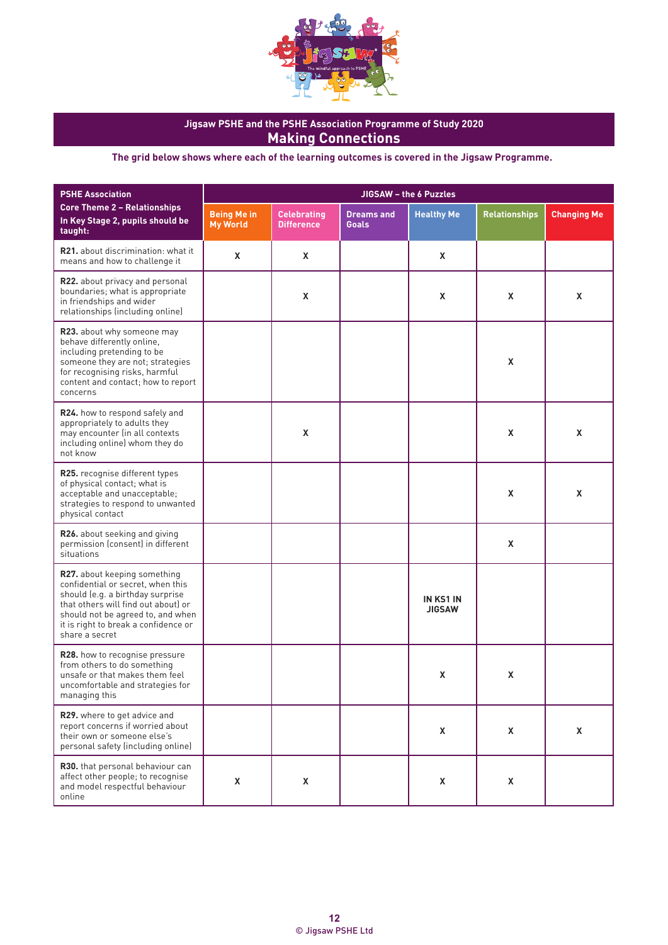

| <b>PSHE Association</b>                                                                                                                                                                                                                            | JIGSAW - the 6 Puzzles                |                                         |                                   |                                   |                      |                    |  |  |
|----------------------------------------------------------------------------------------------------------------------------------------------------------------------------------------------------------------------------------------------------|---------------------------------------|-----------------------------------------|-----------------------------------|-----------------------------------|----------------------|--------------------|--|--|
| <b>Core Theme 2 - Relationships</b><br>In Key Stage 2, pupils should be<br>taught:                                                                                                                                                                 | <b>Being Me in</b><br><b>My World</b> | <b>Celebrating</b><br><b>Difference</b> | <b>Dreams and</b><br><b>Goals</b> | <b>Healthy Me</b>                 | <b>Relationships</b> | <b>Changing Me</b> |  |  |
| <b>R21.</b> about discrimination: what it<br>means and how to challenge it                                                                                                                                                                         | X                                     | X                                       |                                   | X                                 |                      |                    |  |  |
| R22. about privacy and personal<br>boundaries; what is appropriate<br>in friendships and wider<br>relationships (including online)                                                                                                                 |                                       | X                                       |                                   | X                                 | X                    | X                  |  |  |
| R23. about why someone may<br>behave differently online,<br>including pretending to be<br>someone they are not; strategies<br>for recognising risks, harmful<br>content and contact; how to report<br>concerns                                     |                                       |                                         |                                   |                                   | $\mathsf{x}$         |                    |  |  |
| R24. how to respond safely and<br>appropriately to adults they<br>may encounter (in all contexts<br>including online) whom they do<br>not know                                                                                                     |                                       | X                                       |                                   |                                   | X                    | X                  |  |  |
| R25. recognise different types<br>of physical contact; what is<br>acceptable and unacceptable;<br>strategies to respond to unwanted<br>physical contact                                                                                            |                                       |                                         |                                   |                                   | X                    | X                  |  |  |
| R26. about seeking and giving<br>permission (consent) in different<br>situations                                                                                                                                                                   |                                       |                                         |                                   |                                   | X                    |                    |  |  |
| <b>R27.</b> about keeping something<br>confidential or secret, when this<br>should (e.g. a birthday surprise<br>that others will find out about) or<br>should not be agreed to, and when<br>it is right to break a confidence or<br>share a secret |                                       |                                         |                                   | <b>IN KS1 IN</b><br><b>JIGSAW</b> |                      |                    |  |  |
| R28. how to recognise pressure<br>from others to do something<br>unsafe or that makes them feel<br>uncomfortable and strategies for<br>managing this                                                                                               |                                       |                                         |                                   | X                                 | X                    |                    |  |  |
| R29. where to get advice and<br>report concerns if worried about<br>their own or someone else's<br>personal safety (including online)                                                                                                              |                                       |                                         |                                   | X                                 | X                    | X                  |  |  |
| R30. that personal behaviour can<br>affect other people; to recognise<br>and model respectful behaviour<br>online                                                                                                                                  | X                                     | X                                       |                                   | X                                 | X                    |                    |  |  |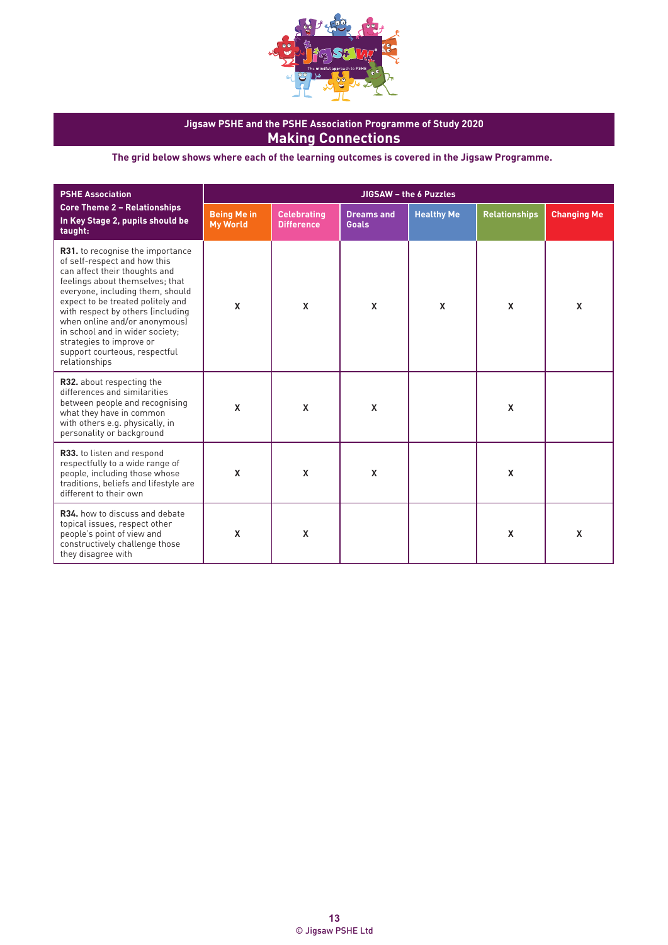

| <b>PSHE Association</b>                                                                                                                                                                                                                                                                                                                                                                                     | JIGSAW - the 6 Puzzles                |                                         |                                   |                   |                           |                           |
|-------------------------------------------------------------------------------------------------------------------------------------------------------------------------------------------------------------------------------------------------------------------------------------------------------------------------------------------------------------------------------------------------------------|---------------------------------------|-----------------------------------------|-----------------------------------|-------------------|---------------------------|---------------------------|
| <b>Core Theme 2 - Relationships</b><br>In Key Stage 2, pupils should be<br>taught:                                                                                                                                                                                                                                                                                                                          | <b>Being Me in</b><br><b>My World</b> | <b>Celebrating</b><br><b>Difference</b> | <b>Dreams and</b><br><b>Goals</b> | <b>Healthy Me</b> | <b>Relationships</b>      | <b>Changing Me</b>        |
| <b>R31.</b> to recognise the importance<br>of self-respect and how this<br>can affect their thoughts and<br>feelings about themselves; that<br>everyone, including them, should<br>expect to be treated politely and<br>with respect by others (including<br>when online and/or anonymous)<br>in school and in wider society;<br>strategies to improve or<br>support courteous, respectful<br>relationships | X                                     | $\mathbf x$                             | $\mathbf x$                       | $\mathbf x$       | X                         | $\boldsymbol{\mathsf{X}}$ |
| R32. about respecting the<br>differences and similarities<br>between people and recognising<br>what they have in common<br>with others e.g. physically, in<br>personality or background                                                                                                                                                                                                                     | $\boldsymbol{\mathsf{x}}$             | $\mathbf x$                             | $\boldsymbol{\mathsf{x}}$         |                   | $\mathbf x$               |                           |
| R33. to listen and respond<br>respectfully to a wide range of<br>people, including those whose<br>traditions, beliefs and lifestyle are<br>different to their own                                                                                                                                                                                                                                           | $\boldsymbol{\mathsf{x}}$             | $\mathbf x$                             | $\boldsymbol{\mathsf{x}}$         |                   | $\boldsymbol{\mathsf{x}}$ |                           |
| R34, how to discuss and debate<br>topical issues, respect other<br>people's point of view and<br>constructively challenge those<br>they disagree with                                                                                                                                                                                                                                                       | X                                     | $\mathbf x$                             |                                   |                   | X                         | X                         |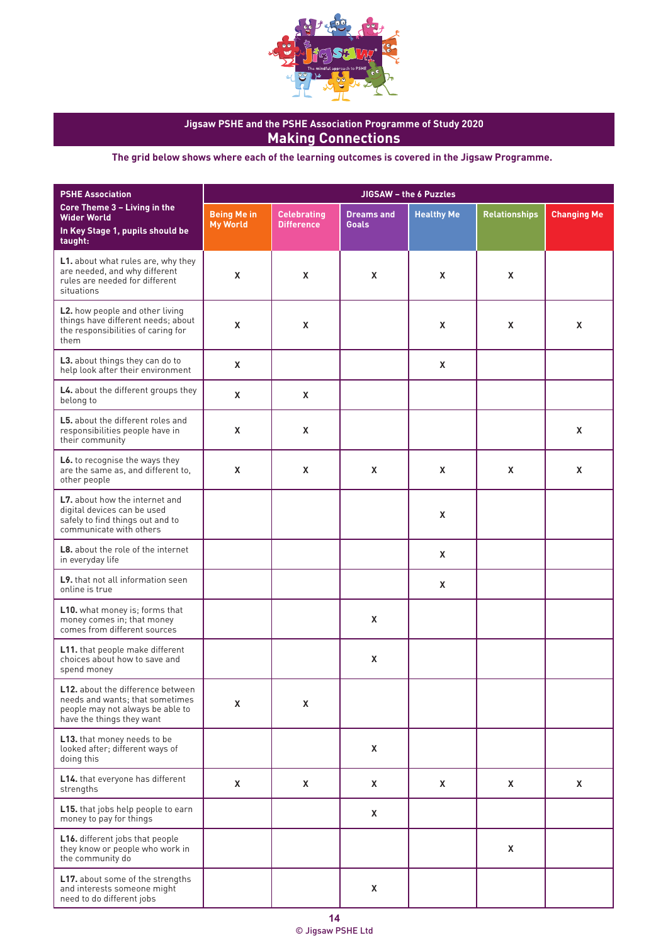

| <b>PSHE Association</b>                                                                                                                      | JIGSAW - the 6 Puzzles                |                                         |                                   |                   |                      |                    |
|----------------------------------------------------------------------------------------------------------------------------------------------|---------------------------------------|-----------------------------------------|-----------------------------------|-------------------|----------------------|--------------------|
| Core Theme 3 - Living in the<br><b>Wider World</b><br>In Key Stage 1, pupils should be<br>taught:                                            | <b>Being Me in</b><br><b>My World</b> | <b>Celebrating</b><br><b>Difference</b> | <b>Dreams and</b><br><b>Goals</b> | <b>Healthy Me</b> | <b>Relationships</b> | <b>Changing Me</b> |
| L1. about what rules are, why they<br>are needed, and why different<br>rules are needed for different<br>situations                          | X                                     | X                                       | X                                 | X                 | X                    |                    |
| L2. how people and other living<br>things have different needs; about<br>the responsibilities of caring for<br>them                          | X                                     | X                                       |                                   | X                 | X                    | X                  |
| L3. about things they can do to<br>help look after their environment                                                                         | X                                     |                                         |                                   | X                 |                      |                    |
| L4. about the different groups they<br>belong to                                                                                             | X                                     | X                                       |                                   |                   |                      |                    |
| <b>L5.</b> about the different roles and<br>responsibilities people have in<br>their community                                               | X                                     | X                                       |                                   |                   |                      | X                  |
| L6. to recognise the ways they<br>are the same as, and different to,<br>other people                                                         | $\mathsf{x}$                          | X                                       | X                                 | X                 | X                    | X                  |
| L7. about how the internet and<br>digital devices can be used<br>safely to find things out and to<br>communicate with others                 |                                       |                                         |                                   | X                 |                      |                    |
| <b>L8.</b> about the role of the internet<br>in everyday life                                                                                |                                       |                                         |                                   | X                 |                      |                    |
| L9. that not all information seen<br>online is true                                                                                          |                                       |                                         |                                   | X                 |                      |                    |
| <b>L10.</b> what money is; forms that<br>money comes in; that money<br>comes from different sources                                          |                                       |                                         | X                                 |                   |                      |                    |
| L11. that people make different<br>choices about how to save and<br>spend money                                                              |                                       |                                         | X                                 |                   |                      |                    |
| <b>L12.</b> about the difference between<br>needs and wants; that sometimes<br>people may not always be able to<br>have the things they want | X                                     | X                                       |                                   |                   |                      |                    |
| L13. that money needs to be<br>looked after; different ways of<br>doing this                                                                 |                                       |                                         | X                                 |                   |                      |                    |
| L14. that everyone has different<br>strengths                                                                                                | X                                     | X                                       | Χ                                 | X                 | X.                   | X                  |
| L15. that jobs help people to earn<br>money to pay for things                                                                                |                                       |                                         | Χ                                 |                   |                      |                    |
| L16. different jobs that people<br>they know or people who work in<br>the community do                                                       |                                       |                                         |                                   |                   | X                    |                    |
| L17. about some of the strengths<br>and interests someone might<br>need to do different jobs                                                 |                                       |                                         | X                                 |                   |                      |                    |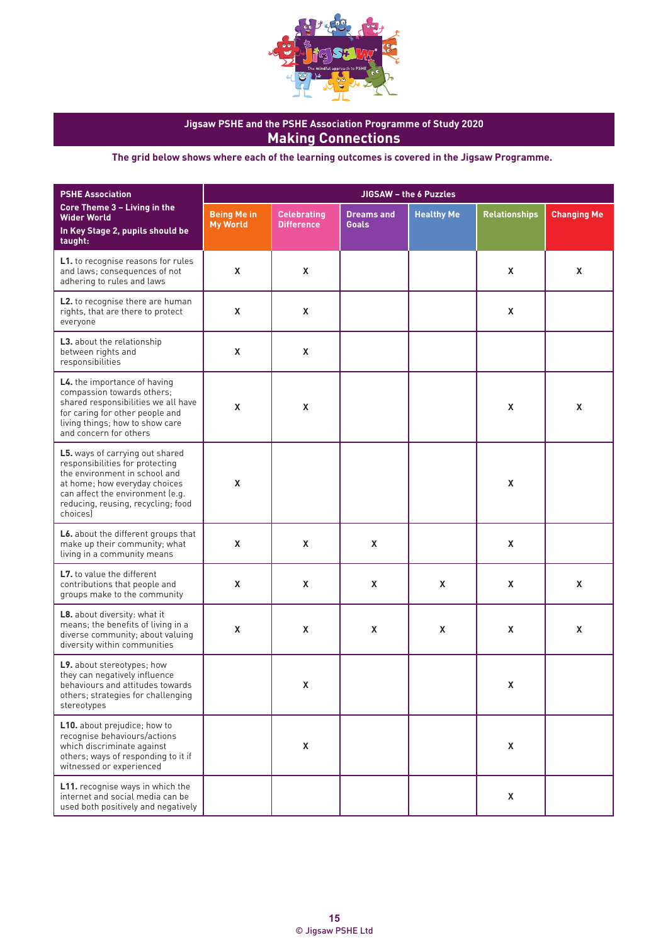

| <b>PSHE Association</b>                                                                                                                                                                                                    | JIGSAW - the 6 Puzzles                |                                         |                                   |                   |                      |                    |
|----------------------------------------------------------------------------------------------------------------------------------------------------------------------------------------------------------------------------|---------------------------------------|-----------------------------------------|-----------------------------------|-------------------|----------------------|--------------------|
| Core Theme 3 - Living in the<br><b>Wider World</b><br>In Key Stage 2, pupils should be<br>taught:                                                                                                                          | <b>Being Me in</b><br><b>My World</b> | <b>Celebrating</b><br><b>Difference</b> | <b>Dreams and</b><br><b>Goals</b> | <b>Healthy Me</b> | <b>Relationships</b> | <b>Changing Me</b> |
| L1. to recognise reasons for rules<br>and laws; consequences of not<br>adhering to rules and laws                                                                                                                          | X                                     | X                                       |                                   |                   | X                    | X                  |
| L2. to recognise there are human<br>rights, that are there to protect<br>everyone                                                                                                                                          | X                                     | X                                       |                                   |                   | X                    |                    |
| L3. about the relationship<br>between rights and<br>responsibilities                                                                                                                                                       | X                                     | X                                       |                                   |                   |                      |                    |
| L4. the importance of having<br>compassion towards others;<br>shared responsibilities we all have<br>for caring for other people and<br>living things; how to show care<br>and concern for others                          | X                                     | X                                       |                                   |                   | X                    | X                  |
| L5. ways of carrying out shared<br>responsibilities for protecting<br>the environment in school and<br>at home; how everyday choices<br>can affect the environment (e.g.<br>reducing, reusing, recycling; food<br>choices) | $\mathsf{x}$                          |                                         |                                   |                   | X                    |                    |
| L6. about the different groups that<br>make up their community; what<br>living in a community means                                                                                                                        | $\mathsf{x}$                          | X                                       | X                                 |                   | X                    |                    |
| L7. to value the different<br>contributions that people and<br>groups make to the community                                                                                                                                | X                                     | X                                       | X                                 | X                 | X                    | X                  |
| L8. about diversity: what it<br>means; the benefits of living in a<br>diverse community; about valuing<br>diversity within communities                                                                                     | X                                     | X                                       | X                                 | X                 | X                    | X                  |
| L9. about stereotypes; how<br>they can negatively influence<br>behaviours and attitudes towards<br>others; strategies for challenging<br>stereotypes                                                                       |                                       | Χ                                       |                                   |                   | X                    |                    |
| L10. about prejudice; how to<br>recognise behaviours/actions<br>which discriminate against<br>others; ways of responding to it if<br>witnessed or experienced                                                              |                                       | X                                       |                                   |                   | X                    |                    |
| L11. recognise ways in which the<br>internet and social media can be<br>used both positively and negatively                                                                                                                |                                       |                                         |                                   |                   | X                    |                    |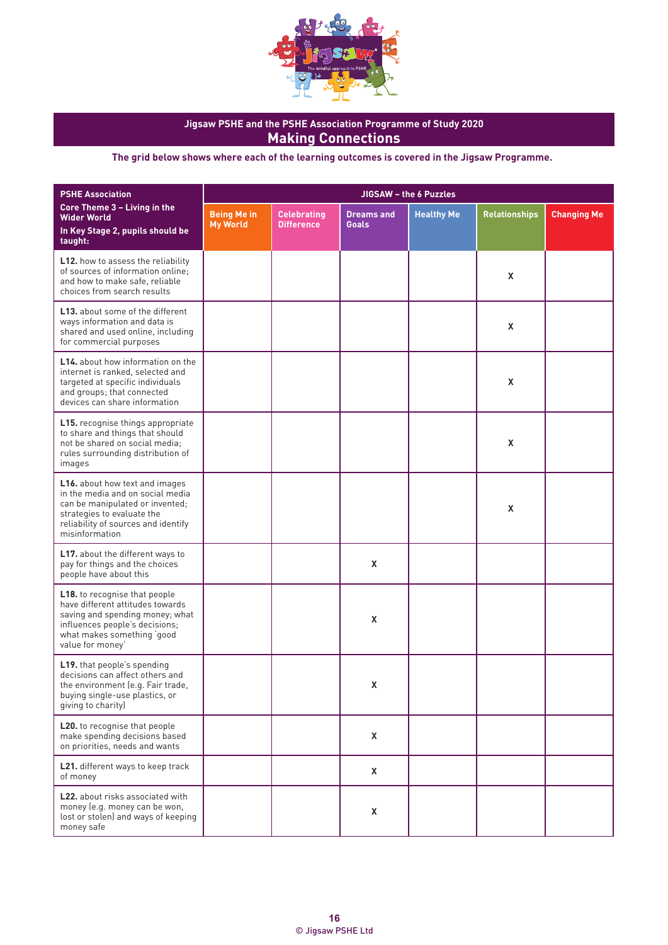

| <b>PSHE Association</b>                                                                                                                                                                         | JIGSAW - the 6 Puzzles                |                                         |                                   |                   |                      |                    |
|-------------------------------------------------------------------------------------------------------------------------------------------------------------------------------------------------|---------------------------------------|-----------------------------------------|-----------------------------------|-------------------|----------------------|--------------------|
| Core Theme 3 - Living in the<br><b>Wider World</b><br>In Key Stage 2, pupils should be<br>taught:                                                                                               | <b>Being Me in</b><br><b>My World</b> | <b>Celebrating</b><br><b>Difference</b> | <b>Dreams and</b><br><b>Goals</b> | <b>Healthy Me</b> | <b>Relationships</b> | <b>Changing Me</b> |
| <b>L12.</b> how to assess the reliability<br>of sources of information online;<br>and how to make safe, reliable<br>choices from search results                                                 |                                       |                                         |                                   |                   | X                    |                    |
| <b>L13.</b> about some of the different<br>ways information and data is<br>shared and used online, including<br>for commercial purposes                                                         |                                       |                                         |                                   |                   | X                    |                    |
| <b>L14.</b> about how information on the<br>internet is ranked, selected and<br>targeted at specific individuals<br>and groups; that connected<br>devices can share information                 |                                       |                                         |                                   |                   | X                    |                    |
| <b>L15.</b> recognise things appropriate<br>to share and things that should<br>not be shared on social media;<br>rules surrounding distribution of<br>images                                    |                                       |                                         |                                   |                   | X                    |                    |
| L16. about how text and images<br>in the media and on social media<br>can be manipulated or invented;<br>strategies to evaluate the<br>reliability of sources and identify<br>misinformation    |                                       |                                         |                                   |                   | X                    |                    |
| L17. about the different ways to<br>pay for things and the choices<br>people have about this                                                                                                    |                                       |                                         | X                                 |                   |                      |                    |
| <b>L18.</b> to recognise that people<br>have different attitudes towards<br>saving and spending money; what<br>influences people's decisions;<br>what makes something 'good<br>value for money' |                                       |                                         | X                                 |                   |                      |                    |
| L19. that people's spending<br>decisions can affect others and<br>the environment (e.g. Fair trade,<br>buying single-use plastics, or<br>giving to charity)                                     |                                       |                                         | X                                 |                   |                      |                    |
| L20. to recognise that people<br>make spending decisions based<br>on priorities, needs and wants                                                                                                |                                       |                                         | X                                 |                   |                      |                    |
| L21. different ways to keep track<br>of money                                                                                                                                                   |                                       |                                         | X                                 |                   |                      |                    |
| L22. about risks associated with<br>money (e.g. money can be won,<br>lost or stolen) and ways of keeping<br>money safe                                                                          |                                       |                                         | X                                 |                   |                      |                    |